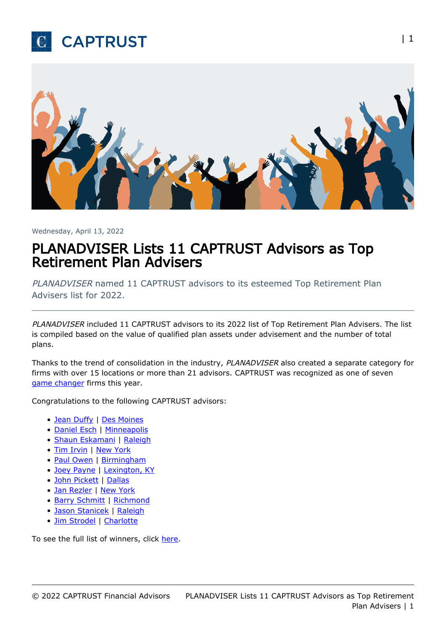



Wednesday, April 13, 2022

## PLANADVISER Lists 11 CAPTRUST Advisors as Top Retirement Plan Advisers

PLANADVISER named 11 CAPTRUST advisors to its esteemed Top Retirement Plan Advisers list for 2022.

PLANADVISER included 11 CAPTRUST advisors to its 2022 list of Top Retirement Plan Advisers. The list is compiled based on the value of qualified plan assets under advisement and the number of total plans.

Thanks to the trend of consolidation in the industry, PLANADVISER also created a separate category for firms with over 15 locations or more than 21 advisors. CAPTRUST was recognized as one of seven [game changer](https://www.planadviser.com/magazine/game-changers-reflect-progress/) firms this year.

Congratulations to the following CAPTRUST advisors:

- [Jean Duffy](https://www.captrust.com/people/jean-duffy/) | [Des Moines](https://www.captrust.com/locations/west-des-moines-ia/)
- [Daniel Esch](https://www.captrust.com/people/daniel-esch/) | [Minneapolis](https://www.captrust.com/locations/minneapolis-mn/)
- [Shaun Eskamani](https://www.captrust.com/people/shaun-eskamani/) | [Raleigh](https://www.captrust.com/locations/raleigh-nc/)
- [Tim Irvin](https://www.captrust.com/people/timothy-irvin-cfp-cpfa-aif-chsa/) | [New York](https://www.captrust.com/locations/new-york-ny/)
- [Paul Owen](https://www.captrust.com/?s=paul+owen+) | [Birmingham](https://www.captrust.com/locations/birmingham-al/)
- [Joey Payne](https://www.captrust.com/people/joey-payne/) | [Lexington, KY](https://www.captrust.com/locations/lexington-ky/)
- [John Pickett](https://www.captrust.com/people/john-a-pickett/) | [Dallas](https://www.captrust.com/locations/dallas-tx/)
- [Jan Rezler](https://www.captrust.com/people/jan-rezler-qpfc/) | [New York](https://www.captrust.com/locations/new-york-ny/)
- [Barry Schmitt](https://www.captrust.com/people/barron-v-schmitt/) | [Richmond](https://www.captrust.com/locations/richmond-va/)
- [Jason Stanicek](https://www.captrust.com/people/jason-f-stanicek/) | [Raleigh](https://www.captrust.com/locations/raleigh-nc/)
- [Jim Strodel](https://www.captrust.com/people/james-w-strodel/) | [Charlotte](https://www.captrust.com/locations/charlotte-nc/)

To see the full list of winners, click [here.](https://www.planadviser.com/awards/2022-top-retirement-plan-advisers/?type=list&category=ALL)